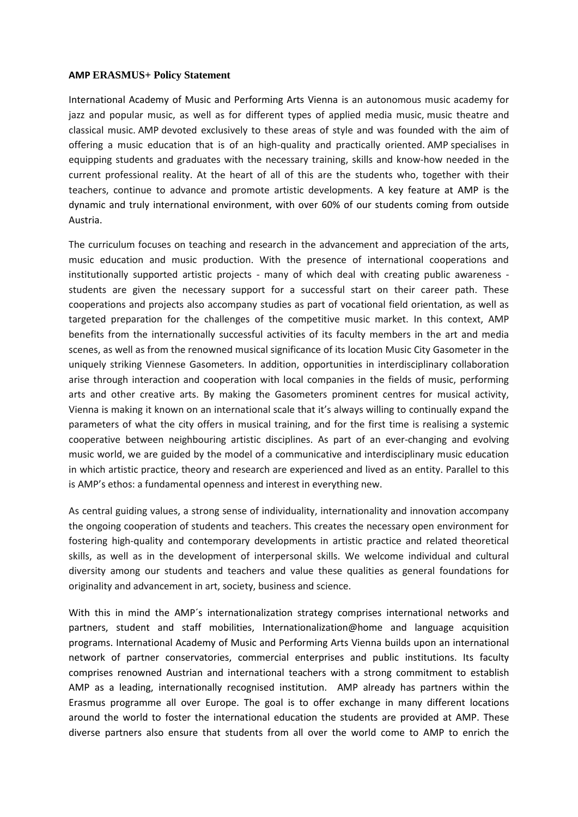## **AMP ERASMUS+ Policy Statement**

International Academy of Music and Performing Arts Vienna is an autonomous music academy for jazz and popular music, as well as for different types of applied media music, music theatre and classical music. AMP devoted exclusively to these areas of style and was founded with the aim of offering a music education that is of an high-quality and practically oriented. AMP specialises in equipping students and graduates with the necessary training, skills and know-how needed in the current professional reality. At the heart of all of this are the students who, together with their teachers, continue to advance and promote artistic developments. A key feature at AMP is the dynamic and truly international environment, with over 60% of our students coming from outside Austria.

The curriculum focuses on teaching and research in the advancement and appreciation of the arts, music education and music production. With the presence of international cooperations and institutionally supported artistic projects - many of which deal with creating public awareness students are given the necessary support for a successful start on their career path. These cooperations and projects also accompany studies as part of vocational field orientation, as well as targeted preparation for the challenges of the competitive music market. In this context, AMP benefits from the internationally successful activities of its faculty members in the art and media scenes, as well as from the renowned musical significance of its location Music City Gasometer in the uniquely striking Viennese Gasometers. In addition, opportunities in interdisciplinary collaboration arise through interaction and cooperation with local companies in the fields of music, performing arts and other creative arts. By making the Gasometers prominent centres for musical activity, Vienna is making it known on an international scale that it's always willing to continually expand the parameters of what the city offers in musical training, and for the first time is realising a systemic cooperative between neighbouring artistic disciplines. As part of an ever-changing and evolving music world, we are guided by the model of a communicative and interdisciplinary music education in which artistic practice, theory and research are experienced and lived as an entity. Parallel to this is AMP's ethos: a fundamental openness and interest in everything new.

As central guiding values, a strong sense of individuality, internationality and innovation accompany the ongoing cooperation of students and teachers. This creates the necessary open environment for fostering high-quality and contemporary developments in artistic practice and related theoretical skills, as well as in the development of interpersonal skills. We welcome individual and cultural diversity among our students and teachers and value these qualities as general foundations for originality and advancement in art, society, business and science.

With this in mind the AMP's internationalization strategy comprises international networks and partners, student and staff mobilities, Internationalization@home and language acquisition programs. International Academy of Music and Performing Arts Vienna builds upon an international network of partner conservatories, commercial enterprises and public institutions. Its faculty comprises renowned Austrian and international teachers with a strong commitment to establish AMP as a leading, internationally recognised institution. AMP already has partners within the Erasmus programme all over Europe. The goal is to offer exchange in many different locations around the world to foster the international education the students are provided at AMP. These diverse partners also ensure that students from all over the world come to AMP to enrich the